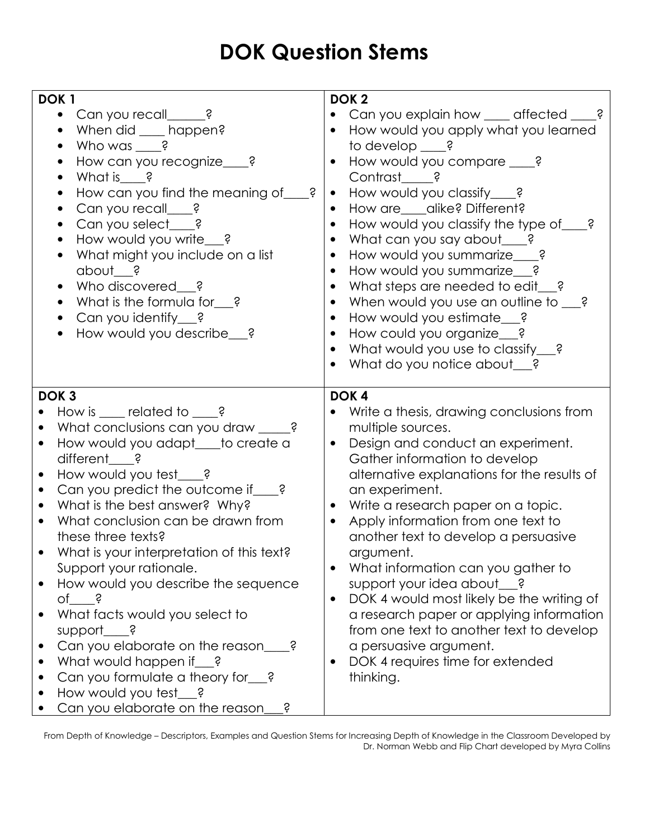## DOK Question Stems

| DOK <sub>1</sub><br>Can you recall______?<br>$\bullet$<br>When did ____ happen?<br>Who was $\frac{2}{x}$<br>How can you recognize___?<br>What is ?<br>How can you find the meaning of<br>Ś<br>Can you recall____?<br>Can you select_e?<br>How would you write__?<br>What might you include on a list<br>$about$ ?<br>Who discovered ?<br>What is the formula for $\frac{2}{3}$ ?<br>Can you identify $\frac{2}{3}$ ?<br>How would you describe__?                                                                                                                                                                                                                                                                                                       | DOK <sub>2</sub><br>Can you explain how ___ affected _<br>How would you apply what you learned<br>to develop $\_\$ ?<br>How would you compare ___?<br>Contrast ?<br>How would you classify___?<br>How are ____ alike? Different?<br>How would you classify the type of<br>Ś<br>What can you say about $\qquad$ ?<br>How would you summarize___?<br>How would you summarize__?<br>What steps are needed to edit_<br>When would you use an outline to<br>Ś<br>How would you estimate_ ?<br>How could you organize__?<br>What would you use to classify_e?<br>What do you notice about_ ?                                                        |
|---------------------------------------------------------------------------------------------------------------------------------------------------------------------------------------------------------------------------------------------------------------------------------------------------------------------------------------------------------------------------------------------------------------------------------------------------------------------------------------------------------------------------------------------------------------------------------------------------------------------------------------------------------------------------------------------------------------------------------------------------------|-----------------------------------------------------------------------------------------------------------------------------------------------------------------------------------------------------------------------------------------------------------------------------------------------------------------------------------------------------------------------------------------------------------------------------------------------------------------------------------------------------------------------------------------------------------------------------------------------------------------------------------------------|
| DOK <sub>3</sub><br>How is $\qquad$ related to $\qquad$ ?<br>$\bullet$<br>What conclusions can you draw ____?<br>How would you adapt__to create a<br>$\bullet$<br>different ?<br>How would you test_e?<br>$\bullet$<br>Can you predict the outcome if ___?<br>$\bullet$<br>What is the best answer? Why?<br>$\bullet$<br>What conclusion can be drawn from<br>$\bullet$<br>these three texts?<br>What is your interpretation of this text?<br>Support your rationale.<br>How would you describe the sequence<br>of ?<br>What facts would you select to<br>support $\qquad \qquad$ ?<br>Can you elaborate on the reason_<br>What would happen if ?<br>Can you formulate a theory for__?<br>How would you test_e?<br>Can you elaborate on the reason<br>Ś | DOK <sub>4</sub><br>Write a thesis, drawing conclusions from<br>multiple sources.<br>Design and conduct an experiment.<br>Gather information to develop<br>alternative explanations for the results of<br>an experiment.<br>Write a research paper on a topic.<br>Apply information from one text to<br>another text to develop a persuasive<br>argument.<br>What information can you gather to<br>support your idea about__?<br>DOK 4 would most likely be the writing of<br>a research paper or applying information<br>from one text to another text to develop<br>a persuasive argument.<br>DOK 4 requires time for extended<br>thinking. |

From Depth of Knowledge – Descriptors, Examples and Question Stems for Increasing Depth of Knowledge in the Classroom Developed by Dr. Norman Webb and Flip Chart developed by Myra Collins